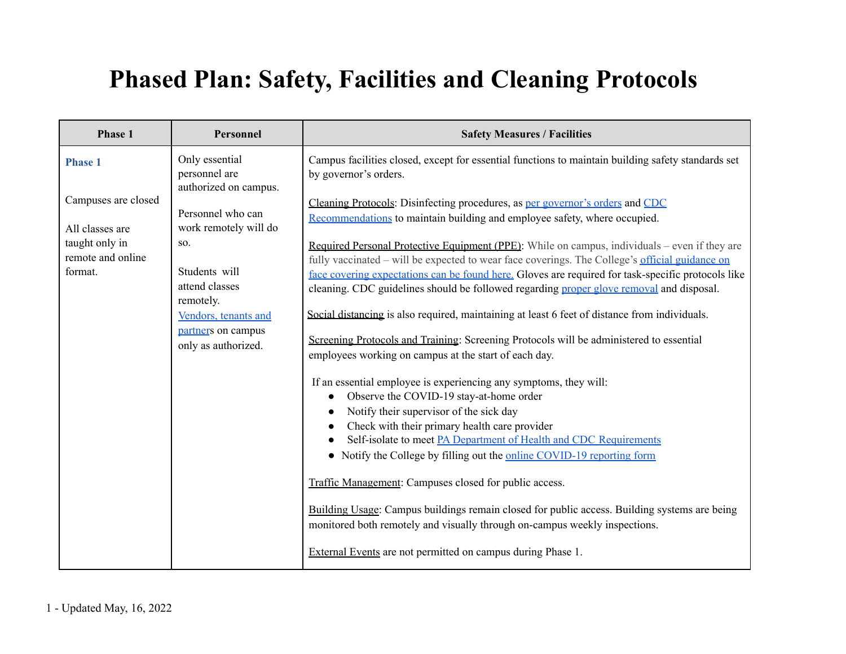## **Phased Plan: Safety, Facilities and Cleaning Protocols**

| Phase 1                                        | Personnel                                                | <b>Safety Measures / Facilities</b>                                                                                                                                                                                                                                                                   |
|------------------------------------------------|----------------------------------------------------------|-------------------------------------------------------------------------------------------------------------------------------------------------------------------------------------------------------------------------------------------------------------------------------------------------------|
| <b>Phase 1</b>                                 | Only essential<br>personnel are<br>authorized on campus. | Campus facilities closed, except for essential functions to maintain building safety standards set<br>by governor's orders.                                                                                                                                                                           |
| Campuses are closed<br>All classes are         | Personnel who can<br>work remotely will do               | Cleaning Protocols: Disinfecting procedures, as per governor's orders and CDC<br>Recommendations to maintain building and employee safety, where occupied.                                                                                                                                            |
| taught only in<br>remote and online<br>format. | SO.<br>Students will<br>attend classes                   | Required Personal Protective Equipment (PPE): While on campus, individuals – even if they are<br>fully vaccinated – will be expected to wear face coverings. The College's official guidance on<br>face covering expectations can be found here. Gloves are required for task-specific protocols like |
|                                                | remotely.<br>Vendors, tenants and<br>partners on campus  | cleaning. CDC guidelines should be followed regarding proper glove removal and disposal.<br>Social distancing is also required, maintaining at least 6 feet of distance from individuals.                                                                                                             |
|                                                | only as authorized.                                      | Screening Protocols and Training: Screening Protocols will be administered to essential<br>employees working on campus at the start of each day.                                                                                                                                                      |
|                                                |                                                          | If an essential employee is experiencing any symptoms, they will:<br>Observe the COVID-19 stay-at-home order<br>Notify their supervisor of the sick day                                                                                                                                               |
|                                                |                                                          | Check with their primary health care provider<br>Self-isolate to meet PA Department of Health and CDC Requirements<br>• Notify the College by filling out the online COVID-19 reporting form                                                                                                          |
|                                                |                                                          | Traffic Management: Campuses closed for public access.                                                                                                                                                                                                                                                |
|                                                |                                                          | Building Usage: Campus buildings remain closed for public access. Building systems are being<br>monitored both remotely and visually through on-campus weekly inspections.                                                                                                                            |
|                                                |                                                          | External Events are not permitted on campus during Phase 1.                                                                                                                                                                                                                                           |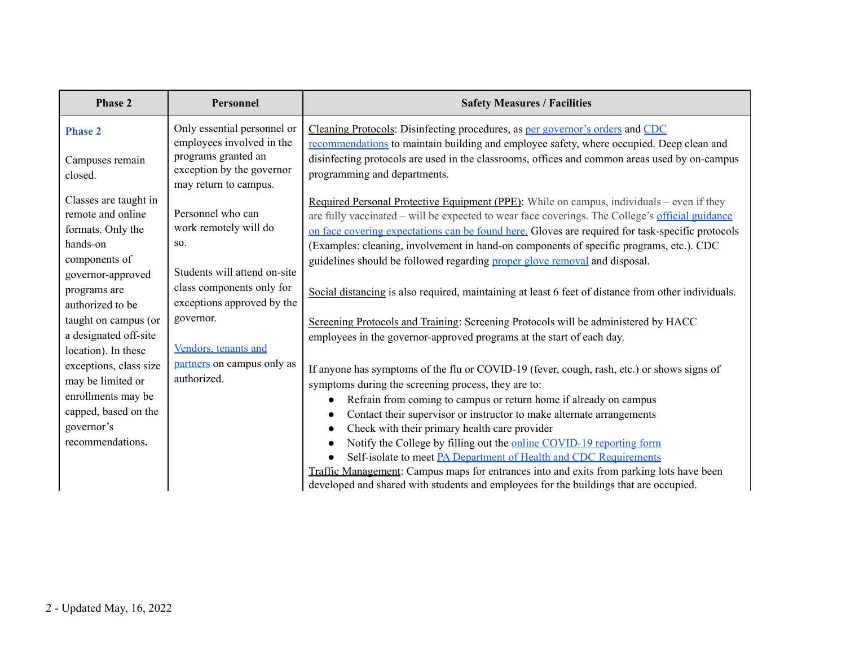| Personnel                                                                                                                                                 | <b>Safety Measures / Facilities</b>                                                                                                                                                                                                                                                                                                                                                                                                                                                                                                                                                                                                                                                                                                                                                                             |
|-----------------------------------------------------------------------------------------------------------------------------------------------------------|-----------------------------------------------------------------------------------------------------------------------------------------------------------------------------------------------------------------------------------------------------------------------------------------------------------------------------------------------------------------------------------------------------------------------------------------------------------------------------------------------------------------------------------------------------------------------------------------------------------------------------------------------------------------------------------------------------------------------------------------------------------------------------------------------------------------|
| Only essential personnel or<br>employees involved in the<br>programs granted an<br>exception by the governor<br>may return to campus.                     | Cleaning Protocols: Disinfecting procedures, as per governor's orders and CDC<br>recommendations to maintain building and employee safety, where occupied. Deep clean and<br>disinfecting protocols are used in the classrooms, offices and common areas used by on-campus<br>programming and departments.                                                                                                                                                                                                                                                                                                                                                                                                                                                                                                      |
| Personnel who can<br>work remotely will do<br>SO.<br>Students will attend on-site<br>class components only for<br>exceptions approved by the<br>governor. | Required Personal Protective Equipment (PPE): While on campus, individuals – even if they<br>are fully vaccinated – will be expected to wear face coverings. The College's official guidance<br>on face covering expectations can be found here. Gloves are required for task-specific protocols<br>(Examples: cleaning, involvement in hand-on components of specific programs, etc.). CDC<br>guidelines should be followed regarding proper glove removal and disposal.<br>Social distancing is also required, maintaining at least 6 feet of distance from other individuals.<br>Screening Protocols and Training: Screening Protocols will be administered by HACC                                                                                                                                          |
| Vendors, tenants and<br>partners on campus only as<br>authorized.                                                                                         | employees in the governor-approved programs at the start of each day.<br>If anyone has symptoms of the flu or COVID-19 (fever, cough, rash, etc.) or shows signs of<br>symptoms during the screening process, they are to:<br>Refrain from coming to campus or return home if already on campus<br>$\bullet$<br>Contact their supervisor or instructor to make alternate arrangements<br>$\bullet$<br>Check with their primary health care provider<br>$\bullet$<br>Notify the College by filling out the online COVID-19 reporting form<br>$\bullet$<br>Self-isolate to meet PA Department of Health and CDC Requirements<br>Traffic Management: Campus maps for entrances into and exits from parking lots have been<br>developed and shared with students and employees for the buildings that are occupied. |
|                                                                                                                                                           |                                                                                                                                                                                                                                                                                                                                                                                                                                                                                                                                                                                                                                                                                                                                                                                                                 |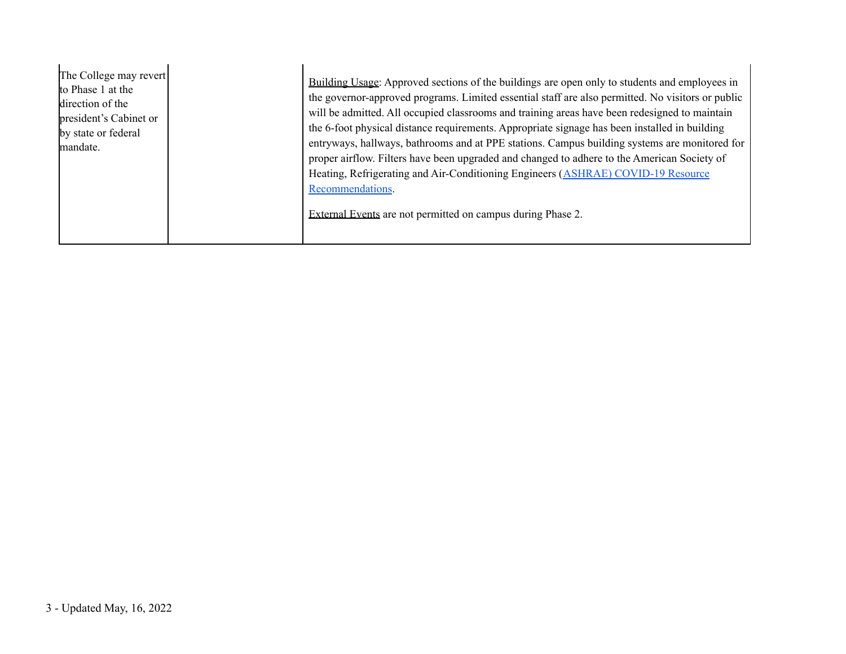| The College may revert<br>to Phase 1 at the<br>direction of the<br>president's Cabinet or<br>by state or federal<br>mandate. | Building Usage: Approved sections of the buildings are open only to students and employees in<br>the governor-approved programs. Limited essential staff are also permitted. No visitors or public<br>will be admitted. All occupied classrooms and training areas have been redesigned to maintain<br>the 6-foot physical distance requirements. Appropriate signage has been installed in building<br>entryways, hallways, bathrooms and at PPE stations. Campus building systems are monitored for<br>proper airflow. Filters have been upgraded and changed to adhere to the American Society of<br>Heating, Refrigerating and Air-Conditioning Engineers (ASHRAE) COVID-19 Resource<br>Recommendations.<br>External Events are not permitted on campus during Phase 2. |
|------------------------------------------------------------------------------------------------------------------------------|-----------------------------------------------------------------------------------------------------------------------------------------------------------------------------------------------------------------------------------------------------------------------------------------------------------------------------------------------------------------------------------------------------------------------------------------------------------------------------------------------------------------------------------------------------------------------------------------------------------------------------------------------------------------------------------------------------------------------------------------------------------------------------|
|------------------------------------------------------------------------------------------------------------------------------|-----------------------------------------------------------------------------------------------------------------------------------------------------------------------------------------------------------------------------------------------------------------------------------------------------------------------------------------------------------------------------------------------------------------------------------------------------------------------------------------------------------------------------------------------------------------------------------------------------------------------------------------------------------------------------------------------------------------------------------------------------------------------------|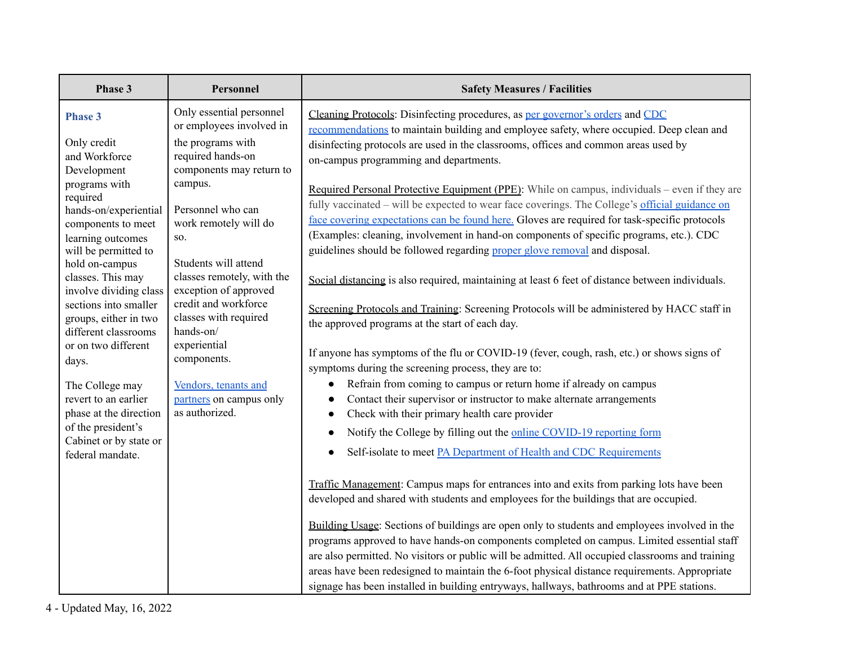| Phase 3                                                                                                                                                                                                                                                                                                                                                                                                                                | Personnel                                                                                                                                                                                                                                                                                                                                                                                                                                   | <b>Safety Measures / Facilities</b>                                                                                                                                                                                                                                                                                                                                                                                                                                                                                                                                                                                                                                                                                                                                                                                                                                                                                                                                                                                                                                                                                                                                                                                                                                                                                                                                                                                                      |
|----------------------------------------------------------------------------------------------------------------------------------------------------------------------------------------------------------------------------------------------------------------------------------------------------------------------------------------------------------------------------------------------------------------------------------------|---------------------------------------------------------------------------------------------------------------------------------------------------------------------------------------------------------------------------------------------------------------------------------------------------------------------------------------------------------------------------------------------------------------------------------------------|------------------------------------------------------------------------------------------------------------------------------------------------------------------------------------------------------------------------------------------------------------------------------------------------------------------------------------------------------------------------------------------------------------------------------------------------------------------------------------------------------------------------------------------------------------------------------------------------------------------------------------------------------------------------------------------------------------------------------------------------------------------------------------------------------------------------------------------------------------------------------------------------------------------------------------------------------------------------------------------------------------------------------------------------------------------------------------------------------------------------------------------------------------------------------------------------------------------------------------------------------------------------------------------------------------------------------------------------------------------------------------------------------------------------------------------|
| <b>Phase 3</b><br>Only credit<br>and Workforce<br>Development<br>programs with<br>required<br>hands-on/experiential<br>components to meet<br>learning outcomes<br>will be permitted to<br>hold on-campus<br>classes. This may<br>involve dividing class<br>sections into smaller<br>groups, either in two<br>different classrooms<br>or on two different<br>days.<br>The College may<br>revert to an earlier<br>phase at the direction | Only essential personnel<br>or employees involved in<br>the programs with<br>required hands-on<br>components may return to<br>campus.<br>Personnel who can<br>work remotely will do<br>SO.<br>Students will attend<br>classes remotely, with the<br>exception of approved<br>credit and workforce<br>classes with required<br>hands-on/<br>experiential<br>components.<br>Vendors, tenants and<br>partners on campus only<br>as authorized. | Cleaning Protocols: Disinfecting procedures, as per governor's orders and CDC<br>recommendations to maintain building and employee safety, where occupied. Deep clean and<br>disinfecting protocols are used in the classrooms, offices and common areas used by<br>on-campus programming and departments.<br>Required Personal Protective Equipment (PPE): While on campus, individuals – even if they are<br>fully vaccinated - will be expected to wear face coverings. The College's official guidance on<br>face covering expectations can be found here. Gloves are required for task-specific protocols<br>(Examples: cleaning, involvement in hand-on components of specific programs, etc.). CDC<br>guidelines should be followed regarding proper glove removal and disposal.<br>Social distancing is also required, maintaining at least 6 feet of distance between individuals.<br>Screening Protocols and Training: Screening Protocols will be administered by HACC staff in<br>the approved programs at the start of each day.<br>If anyone has symptoms of the flu or COVID-19 (fever, cough, rash, etc.) or shows signs of<br>symptoms during the screening process, they are to:<br>Refrain from coming to campus or return home if already on campus<br>$\bullet$<br>Contact their supervisor or instructor to make alternate arrangements<br>$\bullet$<br>Check with their primary health care provider<br>$\bullet$ |
| of the president's<br>Cabinet or by state or<br>federal mandate.                                                                                                                                                                                                                                                                                                                                                                       |                                                                                                                                                                                                                                                                                                                                                                                                                                             | Notify the College by filling out the online COVID-19 reporting form<br>Self-isolate to meet PA Department of Health and CDC Requirements<br>$\bullet$                                                                                                                                                                                                                                                                                                                                                                                                                                                                                                                                                                                                                                                                                                                                                                                                                                                                                                                                                                                                                                                                                                                                                                                                                                                                                   |
|                                                                                                                                                                                                                                                                                                                                                                                                                                        |                                                                                                                                                                                                                                                                                                                                                                                                                                             | Traffic Management: Campus maps for entrances into and exits from parking lots have been<br>developed and shared with students and employees for the buildings that are occupied.<br>Building Usage: Sections of buildings are open only to students and employees involved in the                                                                                                                                                                                                                                                                                                                                                                                                                                                                                                                                                                                                                                                                                                                                                                                                                                                                                                                                                                                                                                                                                                                                                       |
|                                                                                                                                                                                                                                                                                                                                                                                                                                        |                                                                                                                                                                                                                                                                                                                                                                                                                                             | programs approved to have hands-on components completed on campus. Limited essential staff<br>are also permitted. No visitors or public will be admitted. All occupied classrooms and training<br>areas have been redesigned to maintain the 6-foot physical distance requirements. Appropriate<br>signage has been installed in building entryways, hallways, bathrooms and at PPE stations.                                                                                                                                                                                                                                                                                                                                                                                                                                                                                                                                                                                                                                                                                                                                                                                                                                                                                                                                                                                                                                            |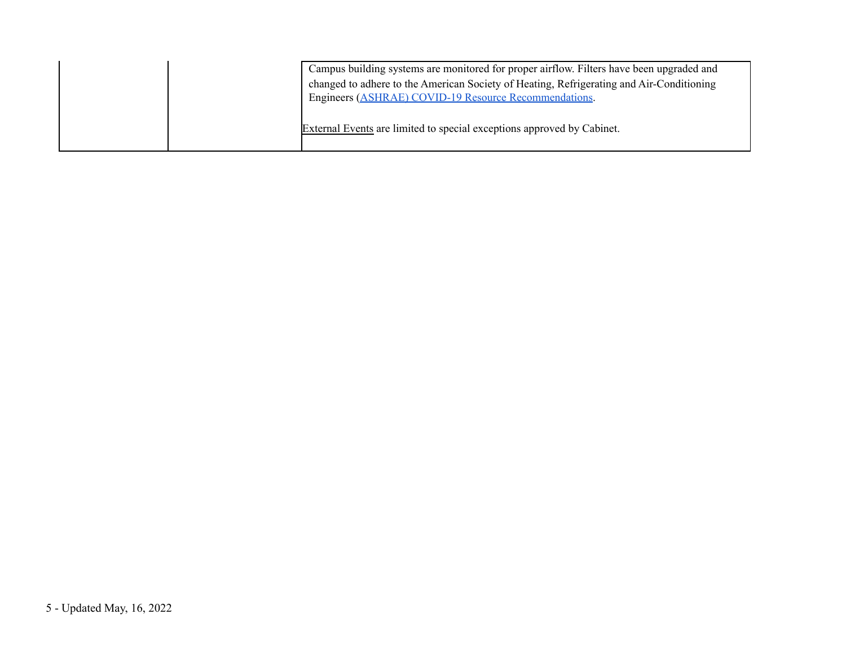| Campus building systems are monitored for proper airflow. Filters have been upgraded and<br>changed to adhere to the American Society of Heating, Refrigerating and Air-Conditioning<br>Engineers (ASHRAE) COVID-19 Resource Recommendations. |
|-----------------------------------------------------------------------------------------------------------------------------------------------------------------------------------------------------------------------------------------------|
| External Events are limited to special exceptions approved by Cabinet.                                                                                                                                                                        |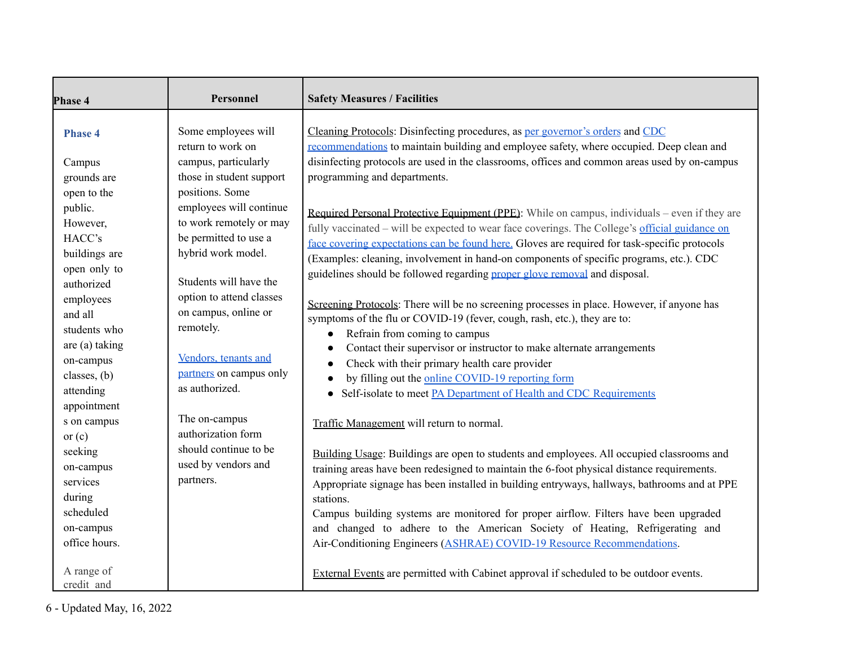| Phase 4                                                                                                                                                                                                                                                                              | Personnel                                                                                                                                                                                                                                                                                                                                                                                                                                            | <b>Safety Measures / Facilities</b>                                                                                                                                                                                                                                                                                                                                                                                                                                                                                                                                                                                                                                                                                                                                                                                                                                                                                                                                                                                                                                                                                                                                                                                                                                                                                                        |
|--------------------------------------------------------------------------------------------------------------------------------------------------------------------------------------------------------------------------------------------------------------------------------------|------------------------------------------------------------------------------------------------------------------------------------------------------------------------------------------------------------------------------------------------------------------------------------------------------------------------------------------------------------------------------------------------------------------------------------------------------|--------------------------------------------------------------------------------------------------------------------------------------------------------------------------------------------------------------------------------------------------------------------------------------------------------------------------------------------------------------------------------------------------------------------------------------------------------------------------------------------------------------------------------------------------------------------------------------------------------------------------------------------------------------------------------------------------------------------------------------------------------------------------------------------------------------------------------------------------------------------------------------------------------------------------------------------------------------------------------------------------------------------------------------------------------------------------------------------------------------------------------------------------------------------------------------------------------------------------------------------------------------------------------------------------------------------------------------------|
| <b>Phase 4</b><br>Campus<br>grounds are<br>open to the<br>public.<br>However,<br>HACC's<br>buildings are<br>open only to<br>authorized<br>employees<br>and all<br>students who<br>are (a) taking<br>on-campus<br>classes, (b)<br>attending<br>appointment<br>s on campus<br>or $(c)$ | Some employees will<br>return to work on<br>campus, particularly<br>those in student support<br>positions. Some<br>employees will continue<br>to work remotely or may<br>be permitted to use a<br>hybrid work model.<br>Students will have the<br>option to attend classes<br>on campus, online or<br>remotely.<br>Vendors, tenants and<br>partners on campus only<br>as authorized.<br>The on-campus<br>authorization form<br>should continue to be | Cleaning Protocols: Disinfecting procedures, as per governor's orders and CDC<br>recommendations to maintain building and employee safety, where occupied. Deep clean and<br>disinfecting protocols are used in the classrooms, offices and common areas used by on-campus<br>programming and departments.<br>Required Personal Protective Equipment (PPE): While on campus, individuals – even if they are<br>fully vaccinated – will be expected to wear face coverings. The College's official guidance on<br>face covering expectations can be found here. Gloves are required for task-specific protocols<br>(Examples: cleaning, involvement in hand-on components of specific programs, etc.). CDC<br>guidelines should be followed regarding proper glove removal and disposal.<br>Screening Protocols: There will be no screening processes in place. However, if anyone has<br>symptoms of the flu or COVID-19 (fever, cough, rash, etc.), they are to:<br>Refrain from coming to campus<br>$\bullet$<br>Contact their supervisor or instructor to make alternate arrangements<br>$\bullet$<br>Check with their primary health care provider<br>$\bullet$<br>by filling out the online COVID-19 reporting form<br>Self-isolate to meet PA Department of Health and CDC Requirements<br>Traffic Management will return to normal. |
| seeking<br>on-campus<br>services<br>during<br>scheduled                                                                                                                                                                                                                              | used by vendors and<br>partners.                                                                                                                                                                                                                                                                                                                                                                                                                     | Building Usage: Buildings are open to students and employees. All occupied classrooms and<br>training areas have been redesigned to maintain the 6-foot physical distance requirements.<br>Appropriate signage has been installed in building entryways, hallways, bathrooms and at PPE<br>stations.<br>Campus building systems are monitored for proper airflow. Filters have been upgraded                                                                                                                                                                                                                                                                                                                                                                                                                                                                                                                                                                                                                                                                                                                                                                                                                                                                                                                                               |
| on-campus<br>office hours.<br>A range of<br>credit and                                                                                                                                                                                                                               |                                                                                                                                                                                                                                                                                                                                                                                                                                                      | and changed to adhere to the American Society of Heating, Refrigerating and<br>Air-Conditioning Engineers (ASHRAE) COVID-19 Resource Recommendations.<br>External Events are permitted with Cabinet approval if scheduled to be outdoor events.                                                                                                                                                                                                                                                                                                                                                                                                                                                                                                                                                                                                                                                                                                                                                                                                                                                                                                                                                                                                                                                                                            |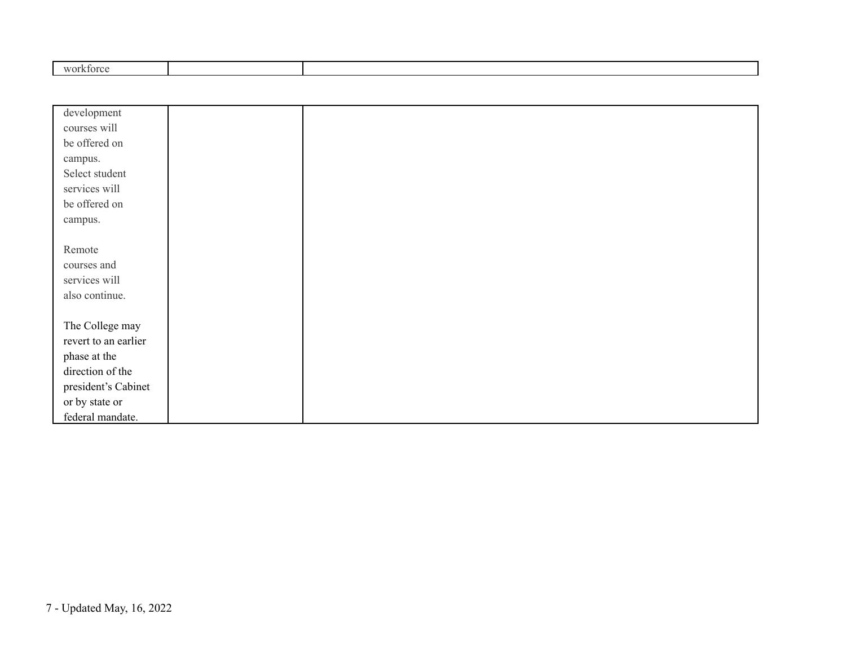|  | $\frac{1}{2}$ |  |  |  |  |
|--|---------------|--|--|--|--|
|--|---------------|--|--|--|--|

| development          |  |
|----------------------|--|
|                      |  |
| courses will         |  |
| be offered on        |  |
| campus.              |  |
| Select student       |  |
| services will        |  |
| be offered on        |  |
| campus.              |  |
|                      |  |
| Remote               |  |
| courses and          |  |
| services will        |  |
| also continue.       |  |
|                      |  |
| The College may      |  |
| revert to an earlier |  |
| phase at the         |  |
| direction of the     |  |
| president's Cabinet  |  |
| or by state or       |  |
| federal mandate.     |  |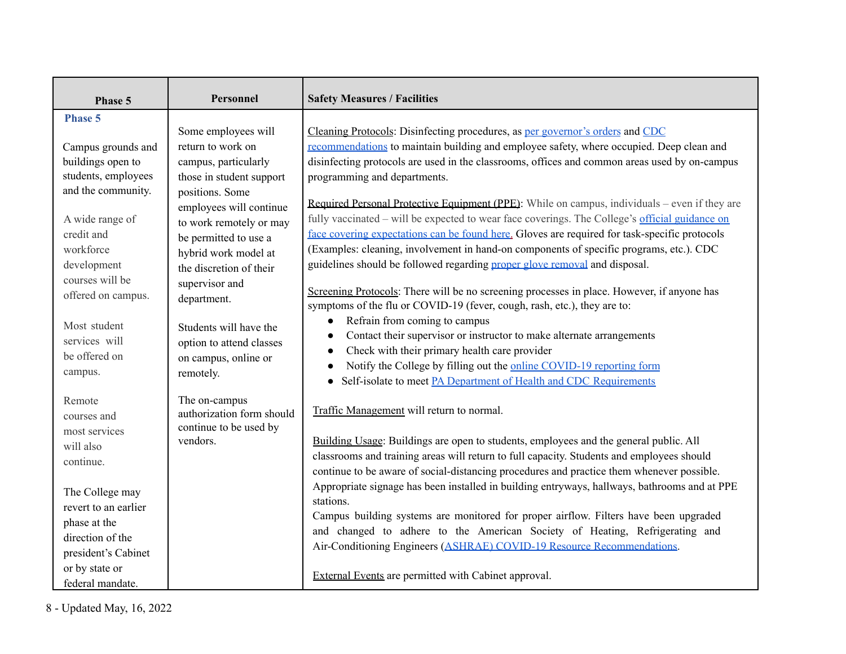| Phase 5                                                                                                               | Personnel                                                                                                                                         | <b>Safety Measures / Facilities</b>                                                                                                                                                                                                                                                                                                                                                                                                                                                                                   |
|-----------------------------------------------------------------------------------------------------------------------|---------------------------------------------------------------------------------------------------------------------------------------------------|-----------------------------------------------------------------------------------------------------------------------------------------------------------------------------------------------------------------------------------------------------------------------------------------------------------------------------------------------------------------------------------------------------------------------------------------------------------------------------------------------------------------------|
| <b>Phase 5</b><br>Campus grounds and<br>buildings open to<br>students, employees<br>and the community.                | Some employees will<br>return to work on<br>campus, particularly<br>those in student support                                                      | Cleaning Protocols: Disinfecting procedures, as per governor's orders and CDC<br>recommendations to maintain building and employee safety, where occupied. Deep clean and<br>disinfecting protocols are used in the classrooms, offices and common areas used by on-campus<br>programming and departments.                                                                                                                                                                                                            |
| A wide range of<br>credit and<br>workforce<br>development<br>courses will be                                          | positions. Some<br>employees will continue<br>to work remotely or may<br>be permitted to use a<br>hybrid work model at<br>the discretion of their | Required Personal Protective Equipment (PPE): While on campus, individuals – even if they are<br>fully vaccinated – will be expected to wear face coverings. The College's official guidance on<br>face covering expectations can be found here. Gloves are required for task-specific protocols<br>(Examples: cleaning, involvement in hand-on components of specific programs, etc.). CDC<br>guidelines should be followed regarding proper glove removal and disposal.                                             |
| offered on campus.<br>Most student<br>services will<br>be offered on<br>campus.                                       | supervisor and<br>department.<br>Students will have the<br>option to attend classes<br>on campus, online or<br>remotely.                          | Screening Protocols: There will be no screening processes in place. However, if anyone has<br>symptoms of the flu or COVID-19 (fever, cough, rash, etc.), they are to:<br>Refrain from coming to campus<br>$\bullet$<br>Contact their supervisor or instructor to make alternate arrangements<br>$\bullet$<br>Check with their primary health care provider<br>$\bullet$<br>Notify the College by filling out the online COVID-19 reporting form<br>Self-isolate to meet PA Department of Health and CDC Requirements |
| Remote<br>courses and<br>most services<br>will also<br>continue.<br>The College may                                   | The on-campus<br>authorization form should<br>continue to be used by<br>vendors.                                                                  | Traffic Management will return to normal.<br>Building Usage: Buildings are open to students, employees and the general public. All<br>classrooms and training areas will return to full capacity. Students and employees should<br>continue to be aware of social-distancing procedures and practice them whenever possible.<br>Appropriate signage has been installed in building entryways, hallways, bathrooms and at PPE                                                                                          |
| revert to an earlier<br>phase at the<br>direction of the<br>president's Cabinet<br>or by state or<br>federal mandate. |                                                                                                                                                   | stations.<br>Campus building systems are monitored for proper airflow. Filters have been upgraded<br>and changed to adhere to the American Society of Heating, Refrigerating and<br>Air-Conditioning Engineers (ASHRAE) COVID-19 Resource Recommendations.<br><b>External Events</b> are permitted with Cabinet approval.                                                                                                                                                                                             |

8 - Updated May, 16, 2022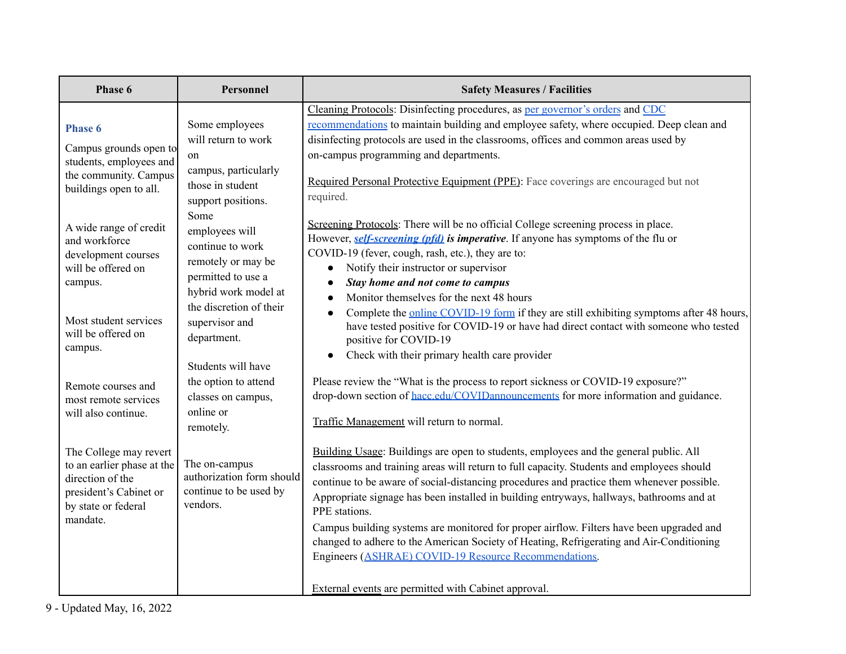| Phase 6                                                                                                                                                                                                                                                                  | Personnel                                                                                                                                                                                                                                                                                   | <b>Safety Measures / Facilities</b>                                                                                                                                                                                                                                                                                                                                                                                                                                                                                                                                                                                                                                                                                                                                                                                                                                                                                                                                                                                        |
|--------------------------------------------------------------------------------------------------------------------------------------------------------------------------------------------------------------------------------------------------------------------------|---------------------------------------------------------------------------------------------------------------------------------------------------------------------------------------------------------------------------------------------------------------------------------------------|----------------------------------------------------------------------------------------------------------------------------------------------------------------------------------------------------------------------------------------------------------------------------------------------------------------------------------------------------------------------------------------------------------------------------------------------------------------------------------------------------------------------------------------------------------------------------------------------------------------------------------------------------------------------------------------------------------------------------------------------------------------------------------------------------------------------------------------------------------------------------------------------------------------------------------------------------------------------------------------------------------------------------|
| <b>Phase 6</b><br>Campus grounds open to<br>students, employees and<br>the community. Campus<br>buildings open to all.<br>A wide range of credit<br>and workforce<br>development courses<br>will be offered on<br>campus.<br>Most student services<br>will be offered on | Some employees<br>will return to work<br>on<br>campus, particularly<br>those in student<br>support positions.<br>Some<br>employees will<br>continue to work<br>remotely or may be<br>permitted to use a<br>hybrid work model at<br>the discretion of their<br>supervisor and<br>department. | Cleaning Protocols: Disinfecting procedures, as per governor's orders and CDC<br>recommendations to maintain building and employee safety, where occupied. Deep clean and<br>disinfecting protocols are used in the classrooms, offices and common areas used by<br>on-campus programming and departments.<br>Required Personal Protective Equipment (PPE): Face coverings are encouraged but not<br>required.<br>Screening Protocols: There will be no official College screening process in place.<br>However, self-screening (pfd) is imperative. If anyone has symptoms of the flu or<br>COVID-19 (fever, cough, rash, etc.), they are to:<br>Notify their instructor or supervisor<br>$\bullet$<br>Stay home and not come to campus<br>$\bullet$<br>Monitor themselves for the next 48 hours<br>$\bullet$<br>Complete the online COVID-19 form if they are still exhibiting symptoms after 48 hours,<br>have tested positive for COVID-19 or have had direct contact with someone who tested<br>positive for COVID-19 |
| campus.<br>Remote courses and<br>most remote services<br>will also continue.                                                                                                                                                                                             | Students will have<br>the option to attend<br>classes on campus,<br>online or<br>remotely.                                                                                                                                                                                                  | Check with their primary health care provider<br>$\bullet$<br>Please review the "What is the process to report sickness or COVID-19 exposure?"<br>drop-down section of hacc.edu/COVIDannouncements for more information and guidance.<br>Traffic Management will return to normal.                                                                                                                                                                                                                                                                                                                                                                                                                                                                                                                                                                                                                                                                                                                                         |
| The College may revert<br>to an earlier phase at the<br>direction of the<br>president's Cabinet or<br>by state or federal<br>mandate.                                                                                                                                    | The on-campus<br>authorization form should<br>continue to be used by<br>vendors.                                                                                                                                                                                                            | Building Usage: Buildings are open to students, employees and the general public. All<br>classrooms and training areas will return to full capacity. Students and employees should<br>continue to be aware of social-distancing procedures and practice them whenever possible.<br>Appropriate signage has been installed in building entryways, hallways, bathrooms and at<br>PPE stations.<br>Campus building systems are monitored for proper airflow. Filters have been upgraded and<br>changed to adhere to the American Society of Heating, Refrigerating and Air-Conditioning<br>Engineers (ASHRAE) COVID-19 Resource Recommendations.                                                                                                                                                                                                                                                                                                                                                                              |
|                                                                                                                                                                                                                                                                          |                                                                                                                                                                                                                                                                                             | External events are permitted with Cabinet approval.                                                                                                                                                                                                                                                                                                                                                                                                                                                                                                                                                                                                                                                                                                                                                                                                                                                                                                                                                                       |